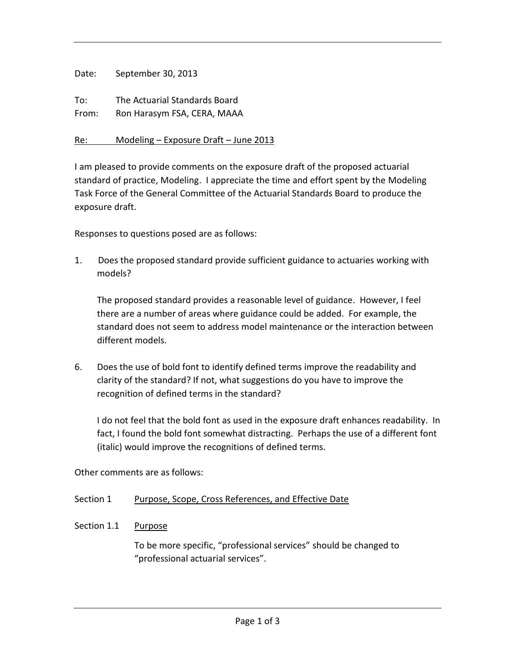| Date:        | September 30, 2013                                           |
|--------------|--------------------------------------------------------------|
| To:<br>From: | The Actuarial Standards Board<br>Ron Harasym FSA, CERA, MAAA |
| Re:          | Modeling - Exposure Draft - June 2013                        |

I am pleased to provide comments on the exposure draft of the proposed actuarial standard of practice, Modeling. I appreciate the time and effort spent by the Modeling Task Force of the General Committee of the Actuarial Standards Board to produce the exposure draft.

Responses to questions posed are as follows:

1. Does the proposed standard provide sufficient guidance to actuaries working with models?

The proposed standard provides a reasonable level of guidance. However, I feel there are a number of areas where guidance could be added. For example, the standard does not seem to address model maintenance orthe interaction between different models.

6. Does the use of bold font to identify defined terms improve the readability and clarity of the standard? If not, what suggestions do you have to improve the recognition of defined terms in the standard?

I do not feel that the bold font as used in the exposure draft enhances readability. In fact, I found the bold font somewhat distracting. Perhaps the use of a different font (italic) would improve the recognitions of defined terms.

Other comments are as follows:

Section 1 Purpose, Scope, Cross References, and Effective Date

Section 1.1 Purpose

To be more specific, "professional services" should be changed to "professional actuarial services".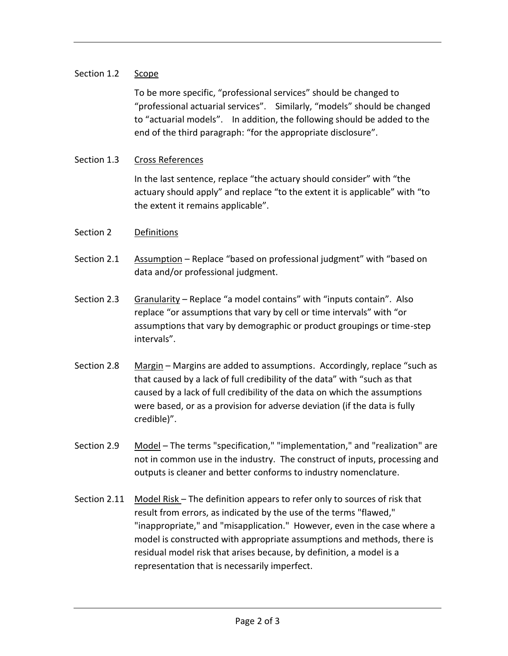## Section 1.2 Scope

To be more specific, "professional services" should be changed to "professional actuarial services". Similarly, "models" should be changed to "actuarial models". In addition, the following should be added to the end of the third paragraph: "for the appropriate disclosure".

## Section 1.3 Cross References

In the last sentence, replace "the actuary should consider" with "the actuary should apply" and replace "to the extent it is applicable" with "to the extent it remains applicable".

## Section 2 Definitions

- Section 2.1 Assumption Replace "based on professional judgment" with "based on data and/or professional judgment.
- Section 2.3 Granularity Replace "a model contains" with "inputs contain". Also replace "or assumptions that vary by cell or time intervals" with "or assumptions that vary by demographic or product groupings or time-step intervals".
- Section 2.8 Margin Margins are added to assumptions. Accordingly, replace "such as that caused by a lack of full credibility of the data" with "such as that caused by a lack of full credibility of the data on which the assumptions were based, or as a provision for adverse deviation (if the data is fully credible)".
- Section 2.9 Model The terms "specification," "implementation," and "realization" are not in common use in the industry. The construct of inputs, processing and outputs is cleaner and better conforms to industry nomenclature.
- Section 2.11 Model Risk The definition appears to refer only to sources of risk that result from errors, as indicated by the use of the terms "flawed," "inappropriate," and "misapplication." However, even in the case where a model is constructed with appropriate assumptions and methods, there is residual model risk that arises because, by definition, a model is a representation that is necessarily imperfect.